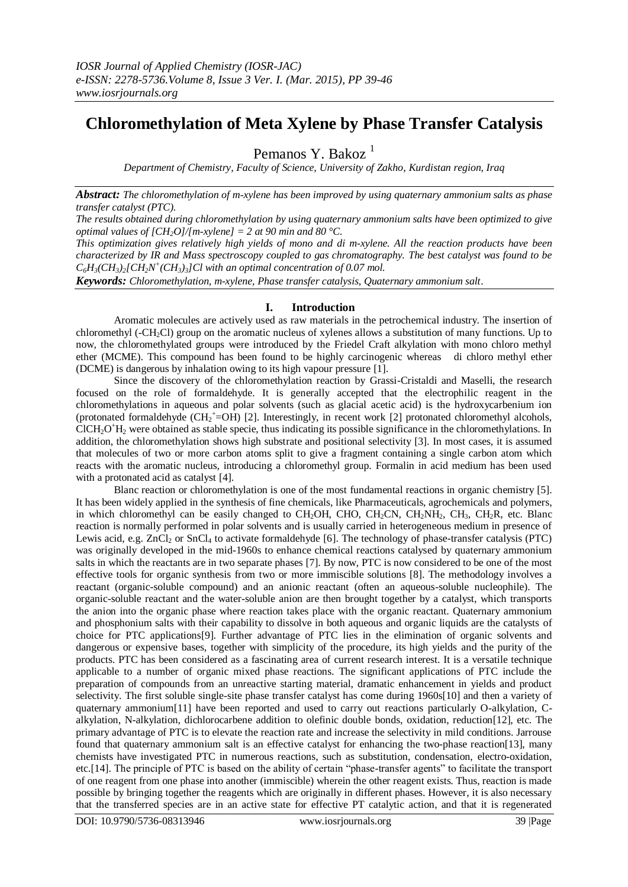# **Chloromethylation of Meta Xylene by Phase Transfer Catalysis**

Pemanos Y. Bakoz<sup>1</sup>

*Department of Chemistry, Faculty of Science, University of Zakho, Kurdistan region, Iraq*

*Abstract: The chloromethylation of m-xylene has been improved by using quaternary ammonium salts as phase transfer catalyst (PTC).*

*The results obtained during chloromethylation by using quaternary ammonium salts have been optimized to give optimal values of*  $[CH_2O]/[m$ *-xylene]* = 2 *at 90 min and 80 °C.* 

*This optimization gives relatively high yields of mono and di m-xylene. All the reaction products have been characterized by IR and Mass spectroscopy coupled to gas chromatography. The best catalyst was found to be*   $C_6H_3(CH_3)_2[CH_2N^+(CH_3)_3]Cl$  with an optimal concentration of 0.07 mol.

*Keywords: Chloromethylation, m-xylene, Phase transfer catalysis, Quaternary ammonium salt*.

## **I. Introduction**

Aromatic molecules are actively used as raw materials in the petrochemical industry. The insertion of chloromethyl (-CH2Cl) group on the aromatic nucleus of xylenes allows a substitution of many functions. Up to now, the chloromethylated groups were introduced by the Friedel Craft alkylation with mono chloro methyl ether (MCME). This compound has been found to be highly carcinogenic whereas di chloro methyl ether (DCME) is dangerous by inhalation owing to its high vapour pressure [1].

Since the discovery of the chloromethylation reaction by Grassi-Cristaldi and Maselli, the research focused on the role of formaldehyde. It is generally accepted that the electrophilic reagent in the chloromethylations in aqueous and polar solvents (such as glacial acetic acid) is the hydroxycarbenium ion (protonated formaldehyde (CH<sub>2</sub><sup>+</sup>=OH) [2]. Interestingly, in recent work [2] protonated chloromethyl alcohols, ClCH<sub>2</sub>O<sup>+</sup>H<sub>2</sub> were obtained as stable specie, thus indicating its possible significance in the chloromethylations. In addition, the chloromethylation shows high substrate and positional selectivity [3]. In most cases, it is assumed that molecules of two or more carbon atoms split to give a fragment containing a single carbon atom which reacts with the aromatic nucleus, introducing a chloromethyl group. Formalin in acid medium has been used with a protonated acid as catalyst [4].

Blanc reaction or chloromethylation is one of the most fundamental reactions in organic chemistry [5]. It has been widely applied in the synthesis of fine chemicals, like Pharmaceuticals, agrochemicals and polymers, in which chloromethyl can be easily changed to CH<sub>2</sub>OH, CH<sub>2</sub>CN, CH<sub>2</sub>NH<sub>2</sub>, CH<sub>3</sub>R, etc. Blanc reaction is normally performed in polar solvents and is usually carried in heterogeneous medium in presence of Lewis acid, e.g.  $ZnCl_2$  or  $SnCl_4$  to activate formaldehyde [6]. The technology of phase-transfer catalysis (PTC) was originally developed in the mid-1960s to enhance chemical reactions catalysed by quaternary ammonium salts in which the reactants are in two separate phases [7]. By now, PTC is now considered to be one of the most effective tools for organic synthesis from two or more immiscible solutions [8]. The methodology involves a reactant (organic-soluble compound) and an anionic reactant (often an aqueous-soluble nucleophile). The organic-soluble reactant and the water-soluble anion are then brought together by a catalyst, which transports the anion into the organic phase where reaction takes place with the organic reactant. Quaternary ammonium and phosphonium salts with their capability to dissolve in both aqueous and organic liquids are the catalysts of choice for PTC applications[9]. Further advantage of PTC lies in the elimination of organic solvents and dangerous or expensive bases, together with simplicity of the procedure, its high yields and the purity of the products. PTC has been considered as a fascinating area of current research interest. It is a versatile technique applicable to a number of organic mixed phase reactions. The significant applications of PTC include the preparation of compounds from an unreactive starting material, dramatic enhancement in yields and product selectivity. The first soluble single-site phase transfer catalyst has come during 1960s[10] and then a variety of quaternary ammonium[11] have been reported and used to carry out reactions particularly O-alkylation, Calkylation, N-alkylation, dichlorocarbene addition to olefinic double bonds, oxidation, reduction[12], etc. The primary advantage of PTC is to elevate the reaction rate and increase the selectivity in mild conditions. Jarrouse found that quaternary ammonium salt is an effective catalyst for enhancing the two-phase reaction[13], many chemists have investigated PTC in numerous reactions, such as substitution, condensation, electro-oxidation, etc.[14]. The principle of PTC is based on the ability of certain "phase-transfer agents" to facilitate the transport of one reagent from one phase into another (immiscible) wherein the other reagent exists. Thus, reaction is made possible by bringing together the reagents which are originally in different phases. However, it is also necessary that the transferred species are in an active state for effective PT catalytic action, and that it is regenerated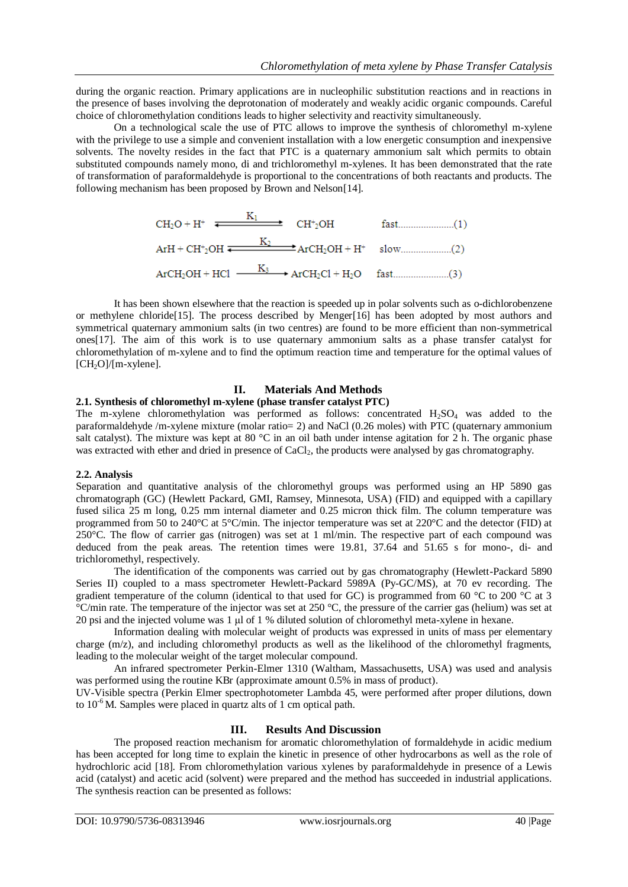during the organic reaction. Primary applications are in nucleophilic substitution reactions and in reactions in the presence of bases involving the deprotonation of moderately and weakly acidic organic compounds. Careful choice of chloromethylation conditions leads to higher selectivity and reactivity simultaneously.

On a technological scale the use of PTC allows to improve the synthesis of chloromethyl m-xylene with the privilege to use a simple and convenient installation with a low energetic consumption and inexpensive solvents. The novelty resides in the fact that PTC is a quaternary ammonium salt which permits to obtain substituted compounds namely mono, di and trichloromethyl m-xylenes. It has been demonstrated that the rate of transformation of paraformaldehyde is proportional to the concentrations of both reactants and products. The following mechanism has been proposed by Brown and Nelson[14].

$$
CH2O + H+ \xrightarrow{K1 } CH+2OH \t\t fast.................(1)
$$
  
ArH + CH<sup>+</sup><sub>2</sub>OH \xrightarrow{K<sub>2</sub> } ArCH<sub>2</sub>OH + H<sup>+</sup> slow.................(2)  
ArCH<sub>2</sub>OH + HCl \xrightarrow{K<sub>3</sub> } ArCH<sub>2</sub>Cl + H<sub>2</sub>O fast.................(3)

It has been shown elsewhere that the reaction is speeded up in polar solvents such as o-dichlorobenzene or methylene chloride[15]. The process described by Menger[16] has been adopted by most authors and symmetrical quaternary ammonium salts (in two centres) are found to be more efficient than non-symmetrical ones[17]. The aim of this work is to use quaternary ammonium salts as a phase transfer catalyst for chloromethylation of m-xylene and to find the optimum reaction time and temperature for the optimal values of  $[CH<sub>2</sub>O]/[m$ -xylene].

## **II. Materials And Methods**

#### **2.1. Synthesis of chloromethyl m-xylene (phase transfer catalyst PTC)**

The m-xylene chloromethylation was performed as follows: concentrated  $H_2SO_4$  was added to the paraformaldehyde /m-xylene mixture (molar ratio= 2) and NaCl (0.26 moles) with PTC (quaternary ammonium salt catalyst). The mixture was kept at 80 °C in an oil bath under intense agitation for 2 h. The organic phase was extracted with ether and dried in presence of CaCl<sub>2</sub>, the products were analysed by gas chromatography.

## **2.2. Analysis**

Separation and quantitative analysis of the chloromethyl groups was performed using an HP 5890 gas chromatograph (GC) (Hewlett Packard, GMI, Ramsey, Minnesota, USA) (FID) and equipped with a capillary fused silica 25 m long, 0.25 mm internal diameter and 0.25 micron thick film. The column temperature was programmed from 50 to 240°C at 5°C/min. The injector temperature was set at 220°C and the detector (FID) at 250°C. The flow of carrier gas (nitrogen) was set at 1 ml/min. The respective part of each compound was deduced from the peak areas. The retention times were 19.81, 37.64 and 51.65 s for mono-, di- and trichloromethyl, respectively.

The identification of the components was carried out by gas chromatography (Hewlett-Packard 5890 Series II) coupled to a mass spectrometer Hewlett-Packard 5989A (Py-GC/MS), at 70 ev recording. The gradient temperature of the column (identical to that used for GC) is programmed from 60 °C to 200 °C at 3 °C/min rate. The temperature of the injector was set at 250 °C, the pressure of the carrier gas (helium) was set at 20 psi and the injected volume was 1 μl of 1 % diluted solution of chloromethyl meta-xylene in hexane.

Information dealing with molecular weight of products was expressed in units of mass per elementary charge (m/z), and including chloromethyl products as well as the likelihood of the chloromethyl fragments, leading to the molecular weight of the target molecular compound.

An infrared spectrometer Perkin-Elmer 1310 (Waltham, Massachusetts, USA) was used and analysis was performed using the routine KBr (approximate amount 0.5% in mass of product).

UV-Visible spectra (Perkin Elmer spectrophotometer Lambda 45, were performed after proper dilutions, down to  $10^{-6}$  M. Samples were placed in quartz alts of 1 cm optical path.

## **III. Results And Discussion**

The proposed reaction mechanism for aromatic chloromethylation of formaldehyde in acidic medium has been accepted for long time to explain the kinetic in presence of other hydrocarbons as well as the role of hydrochloric acid [18]. From chloromethylation various xylenes by paraformaldehyde in presence of a Lewis acid (catalyst) and acetic acid (solvent) were prepared and the method has succeeded in industrial applications. The synthesis reaction can be presented as follows: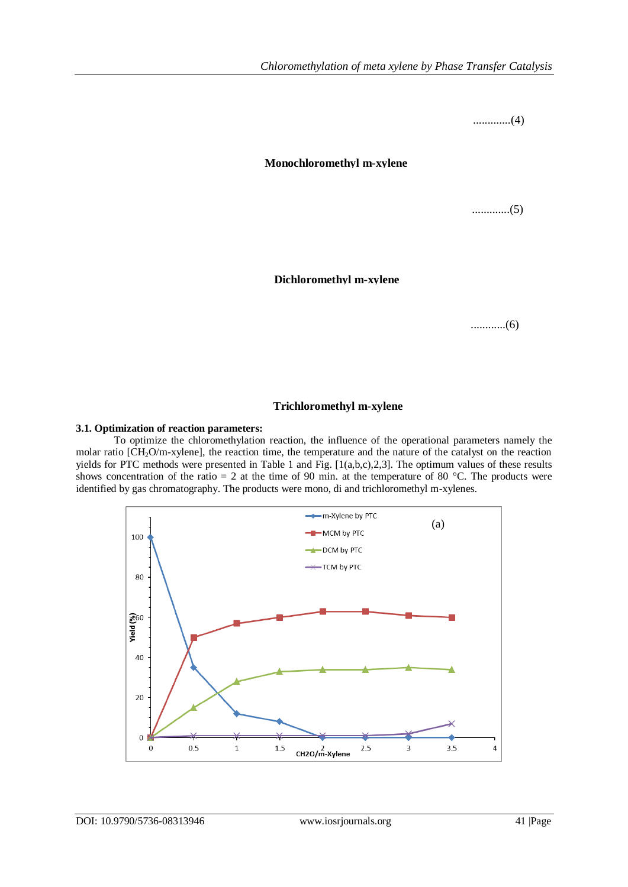.............(4)

**Monochloromethyl m-xylene**

.............(5)

**Dichloromethyl m-xylene**

............(6)

## **Trichloromethyl m-xylene**

## **3.1. Optimization of reaction parameters:**

To optimize the chloromethylation reaction, the influence of the operational parameters namely the molar ratio [CH2O/m-xylene], the reaction time, the temperature and the nature of the catalyst on the reaction yields for PTC methods were presented in Table 1 and Fig. [1(a,b,c),2,3]. The optimum values of these results shows concentration of the ratio = 2 at the time of 90 min. at the temperature of 80  $^{\circ}$ C. The products were identified by gas chromatography. The products were mono, di and trichloromethyl m-xylenes.

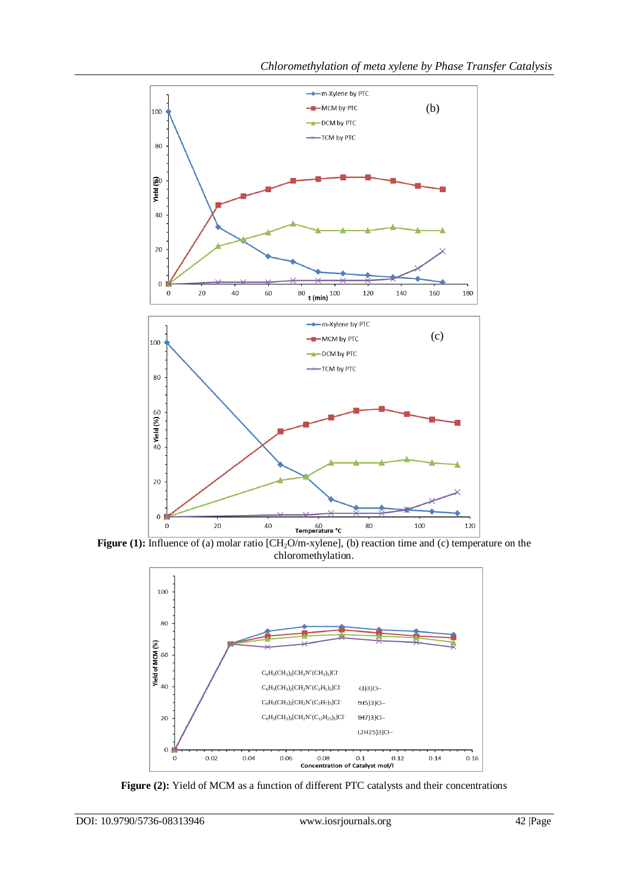

**Figure (1):** Influence of (a) molar ratio [CH<sub>2</sub>O/m-xylene], (b) reaction time and (c) temperature on the chloromethylation.



**Figure (2):** Yield of MCM as a function of different PTC catalysts and their concentrations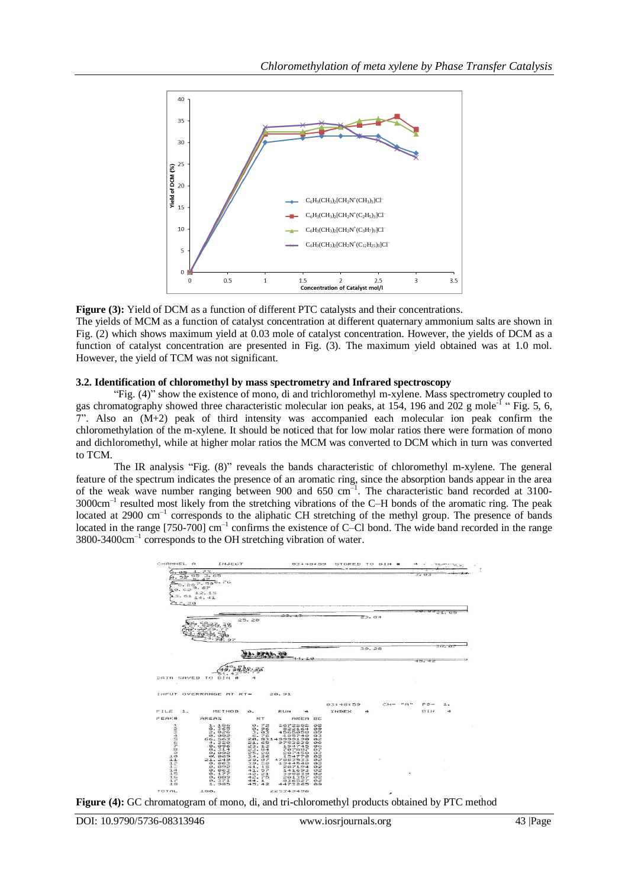

**Figure (3):** Yield of DCM as a function of different PTC catalysts and their concentrations.

The yields of MCM as a function of catalyst concentration at different quaternary ammonium salts are shown in Fig. (2) which shows maximum yield at 0.03 mole of catalyst concentration. However, the yields of DCM as a function of catalyst concentration are presented in Fig. (3). The maximum yield obtained was at 1.0 mol. However, the yield of TCM was not significant.

## **3.2. Identification of chloromethyl by mass spectrometry and Infrared spectroscopy**

"Fig. (4)" show the existence of mono, di and trichloromethyl m-xylene. Mass spectrometry coupled to gas chromatography showed three characteristic molecular ion peaks, at 154, 196 and 202 g mole<sup>-1</sup> "Fig. 5, 6, 7". Also an (M+2) peak of third intensity was accompanied each molecular ion peak confirm the chloromethylation of the m-xylene. It should be noticed that for low molar ratios there were formation of mono and dichloromethyl, while at higher molar ratios the MCM was converted to DCM which in turn was converted to TCM.

The IR analysis "Fig. (8)" reveals the bands characteristic of chloromethyl m-xylene. The general feature of the spectrum indicates the presence of an aromatic ring, since the absorption bands appear in the area of the weak wave number ranging between 900 and 650 cm<sup>-1</sup>. The characteristic band recorded at 3100-3000cm–1 resulted most likely from the stretching vibrations of the C–H bonds of the aromatic ring. The peak located at 2900 cm<sup>-1</sup> corresponds to the aliphatic CH stretching of the methyl group. The presence of bands located in the range [750-700] cm<sup>-1</sup> confirms the existence of C–Cl bond. The wide band recorded in the range 3800-3400cm–1 corresponds to the OH stretching vibration of water.



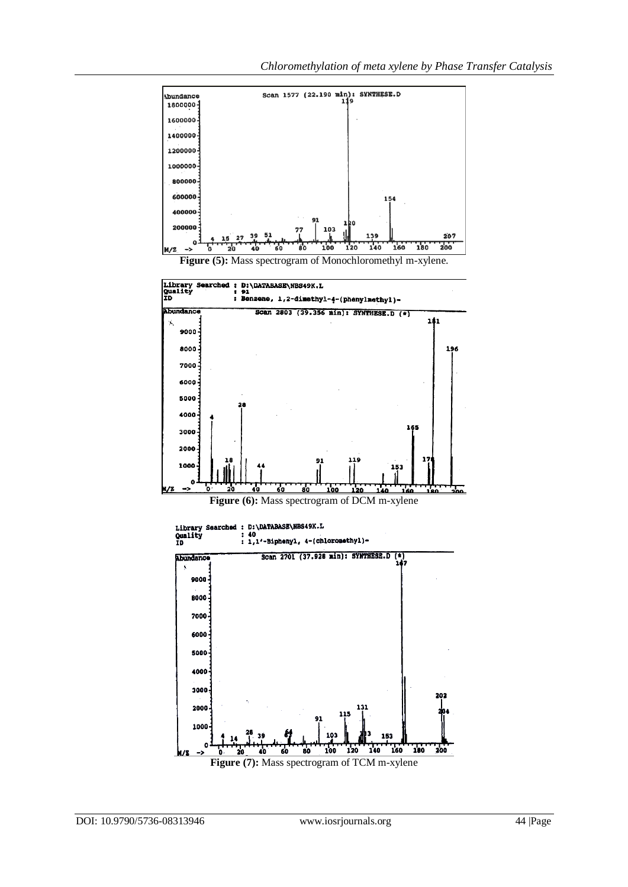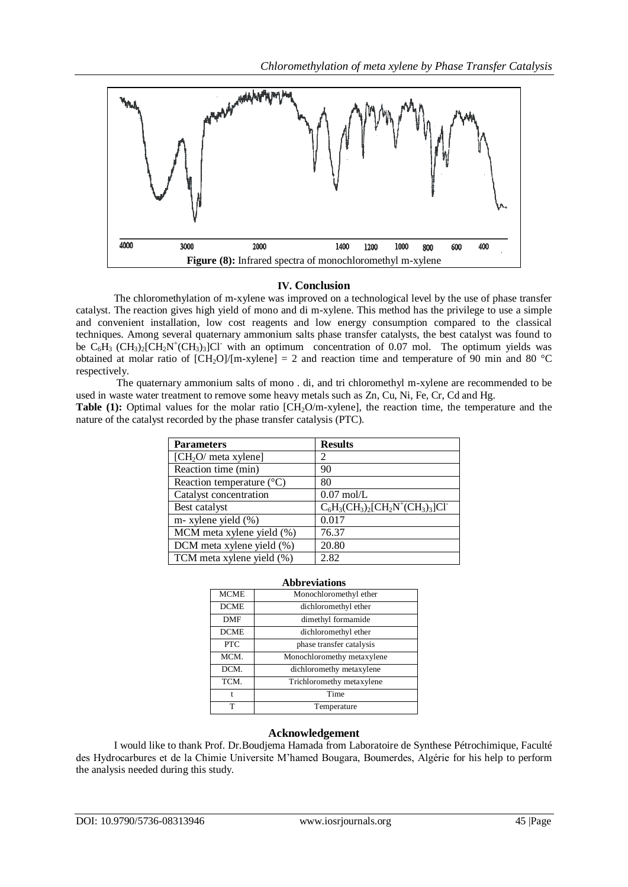

## **IV. Conclusion**

The chloromethylation of m-xylene was improved on a technological level by the use of phase transfer catalyst. The reaction gives high yield of mono and di m-xylene. This method has the privilege to use a simple and convenient installation, low cost reagents and low energy consumption compared to the classical techniques. Among several quaternary ammonium salts phase transfer catalysts, the best catalyst was found to be  $C_6H_3$  (CH<sub>3</sub>)<sub>2</sub>[CH<sub>2</sub>N<sup>+</sup>(CH<sub>3</sub>)<sub>3</sub>]Cl<sup>-</sup> with an optimum concentration of 0.07 mol. The optimum yields was obtained at molar ratio of  $[CH_2O]/[m\text{-xylene}] = 2$  and reaction time and temperature of 90 min and 80 °C respectively.

The quaternary ammonium salts of mono . di, and tri chloromethyl m-xylene are recommended to be used in waste water treatment to remove some heavy metals such as Zn, Cu, Ni, Fe, Cr, Cd and Hg.

**Table (1):** Optimal values for the molar ratio [CH<sub>2</sub>O/m-xylene], the reaction time, the temperature and the nature of the catalyst recorded by the phase transfer catalysis (PTC).

| <b>Parameters</b>                  | <b>Results</b>                        |
|------------------------------------|---------------------------------------|
| [CH <sub>2</sub> O/meta xylene]    | 2                                     |
| Reaction time (min)                | 90                                    |
| Reaction temperature $(^{\circ}C)$ | 80                                    |
| Catalyst concentration             | $0.07 \text{ mol/L}$                  |
| Best catalyst                      | $C_6H_3(CH_3)_2[CH_2N^+(CH_3)_3]Cl^+$ |
| m- xylene yield (%)                | 0.017                                 |
| MCM meta xylene yield $(\%)$       | 76.37                                 |
| DCM meta xylene yield (%)          | 20.80                                 |
| TCM meta xylene yield (%)          | 2.82                                  |

| <b>Abbreviations</b> |                            |
|----------------------|----------------------------|
| <b>MCME</b>          | Monochloromethyl ether     |
| <b>DCME</b>          | dichloromethyl ether       |
| <b>DMF</b>           | dimethyl formamide         |
| <b>DCME</b>          | dichloromethyl ether       |
| <b>PTC</b>           | phase transfer catalysis   |
| MCM.                 | Monochloromethy metaxylene |
| DCM.                 | dichloromethy metaxylene   |
| TCM.                 | Trichloromethy metaxylene  |
| t                    | Time                       |
|                      | Temperature                |

## **Acknowledgement**

I would like to thank Prof. Dr.Boudjema Hamada from Laboratoire de Synthese Pétrochimique, Faculté des Hydrocarbures et de la Chimie Universite M'hamed Bougara, Boumerdes, Algérie for his help to perform the analysis needed during this study.